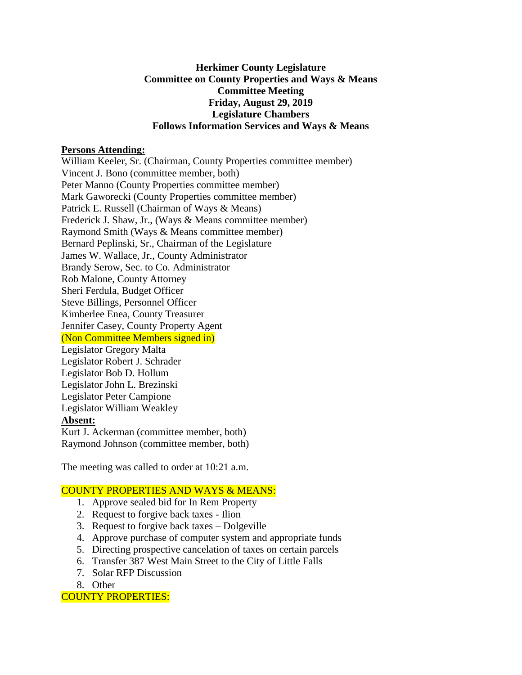### **Herkimer County Legislature Committee on County Properties and Ways & Means Committee Meeting Friday, August 29, 2019 Legislature Chambers Follows Information Services and Ways & Means**

### **Persons Attending:**

William Keeler, Sr. (Chairman, County Properties committee member) Vincent J. Bono (committee member, both) Peter Manno (County Properties committee member) Mark Gaworecki (County Properties committee member) Patrick E. Russell (Chairman of Ways & Means) Frederick J. Shaw, Jr., (Ways & Means committee member) Raymond Smith (Ways & Means committee member) Bernard Peplinski, Sr., Chairman of the Legislature James W. Wallace, Jr., County Administrator Brandy Serow, Sec. to Co. Administrator Rob Malone, County Attorney Sheri Ferdula, Budget Officer Steve Billings, Personnel Officer Kimberlee Enea, County Treasurer Jennifer Casey, County Property Agent (Non Committee Members signed in) Legislator Gregory Malta Legislator Robert J. Schrader Legislator Bob D. Hollum Legislator John L. Brezinski Legislator Peter Campione Legislator William Weakley **Absent:**

Kurt J. Ackerman (committee member, both) Raymond Johnson (committee member, both)

The meeting was called to order at 10:21 a.m.

## COUNTY PROPERTIES AND WAYS & MEANS:

- 1. Approve sealed bid for In Rem Property
- 2. Request to forgive back taxes Ilion
- 3. Request to forgive back taxes Dolgeville
- 4. Approve purchase of computer system and appropriate funds
- 5. Directing prospective cancelation of taxes on certain parcels
- 6. Transfer 387 West Main Street to the City of Little Falls
- 7. Solar RFP Discussion
- 8. Other

COUNTY PROPERTIES: